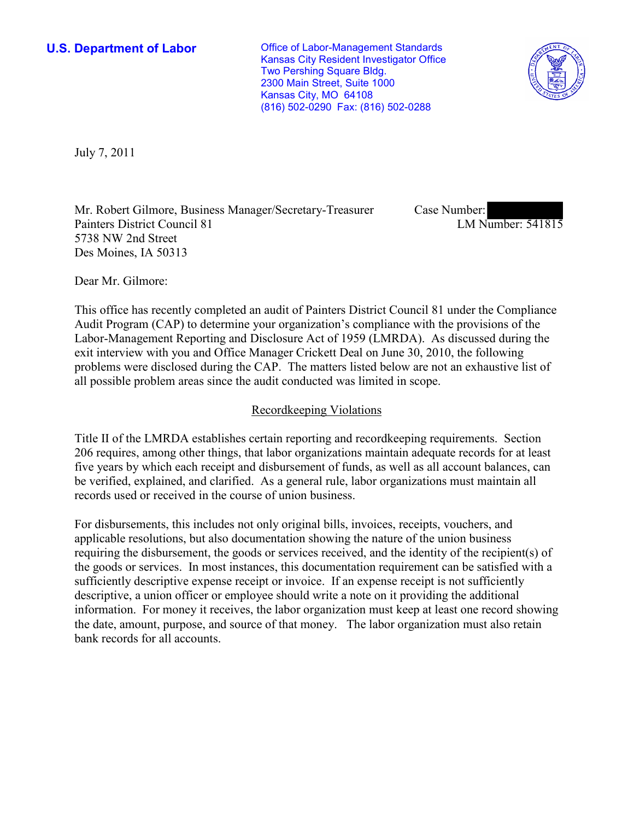**U.S. Department of Labor Conservative Conservative Conservative Conservative Conservative Conservative Conservative Conservative Conservative Conservative Conservative Conservative Conservative Conservative Conservative** Kansas City Resident Investigator Office Two Pershing Square Bldg. 2300 Main Street, Suite 1000 Kansas City, MO 64108 (816) 502-0290 Fax: (816) 502-0288



July 7, 2011

Mr. Robert Gilmore, Business Manager/Secretary-Treasurer Painters District Council 81 5738 NW 2nd Street Des Moines, IA 50313

Case Number: LM Number: 541815

Dear Mr. Gilmore:

This office has recently completed an audit of Painters District Council 81 under the Compliance Audit Program (CAP) to determine your organization's compliance with the provisions of the Labor-Management Reporting and Disclosure Act of 1959 (LMRDA). As discussed during the exit interview with you and Office Manager Crickett Deal on June 30, 2010, the following problems were disclosed during the CAP. The matters listed below are not an exhaustive list of all possible problem areas since the audit conducted was limited in scope.

# Recordkeeping Violations

Title II of the LMRDA establishes certain reporting and recordkeeping requirements. Section 206 requires, among other things, that labor organizations maintain adequate records for at least five years by which each receipt and disbursement of funds, as well as all account balances, can be verified, explained, and clarified. As a general rule, labor organizations must maintain all records used or received in the course of union business.

For disbursements, this includes not only original bills, invoices, receipts, vouchers, and applicable resolutions, but also documentation showing the nature of the union business requiring the disbursement, the goods or services received, and the identity of the recipient(s) of the goods or services. In most instances, this documentation requirement can be satisfied with a sufficiently descriptive expense receipt or invoice. If an expense receipt is not sufficiently descriptive, a union officer or employee should write a note on it providing the additional information. For money it receives, the labor organization must keep at least one record showing the date, amount, purpose, and source of that money. The labor organization must also retain bank records for all accounts.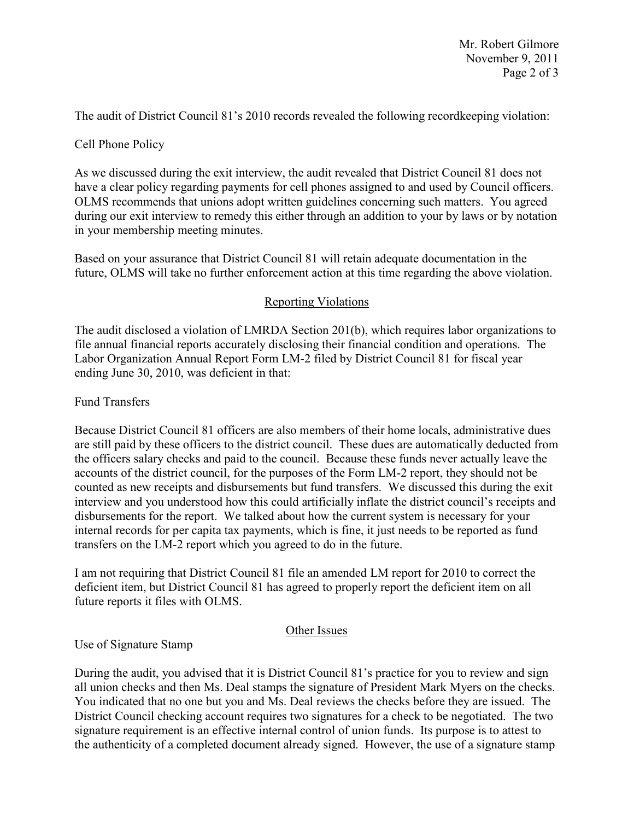The audit of District Council 81's 2010 records revealed the following recordkeeping violation:

# Cell Phone Policy

As we discussed during the exit interview, the audit revealed that District Council 81 does not have a clear policy regarding payments for cell phones assigned to and used by Council officers. OLMS recommends that unions adopt written guidelines concerning such matters. You agreed during our exit interview to remedy this either through an addition to your by laws or by notation in your membership meeting minutes.

Based on your assurance that District Council 81 will retain adequate documentation in the future, OLMS will take no further enforcement action at this time regarding the above violation.

# Reporting Violations

The audit disclosed a violation of LMRDA Section 201(b), which requires labor organizations to file annual financial reports accurately disclosing their financial condition and operations. The Labor Organization Annual Report Form LM-2 filed by District Council 81 for fiscal year ending June 30, 2010, was deficient in that:

### Fund Transfers

Because District Council 81 officers are also members of their home locals, administrative dues are still paid by these officers to the district council. These dues are automatically deducted from the officers salary checks and paid to the council. Because these funds never actually leave the accounts of the district council, for the purposes of the Form LM-2 report, they should not be counted as new receipts and disbursements but fund transfers. We discussed this during the exit interview and you understood how this could artificially inflate the district council's receipts and disbursements for the report. We talked about how the current system is necessary for your internal records for per capita tax payments, which is fine, it just needs to be reported as fund transfers on the LM-2 report which you agreed to do in the future.

I am not requiring that District Council 81 file an amended LM report for 2010 to correct the deficient item, but District Council 81 has agreed to properly report the deficient item on all future reports it files with OLMS.

### Other Issues

### Use of Signature Stamp

During the audit, you advised that it is District Council 81's practice for you to review and sign all union checks and then Ms. Deal stamps the signature of President Mark Myers on the checks. You indicated that no one but you and Ms. Deal reviews the checks before they are issued. The District Council checking account requires two signatures for a check to be negotiated. The two signature requirement is an effective internal control of union funds. Its purpose is to attest to the authenticity of a completed document already signed. However, the use of a signature stamp